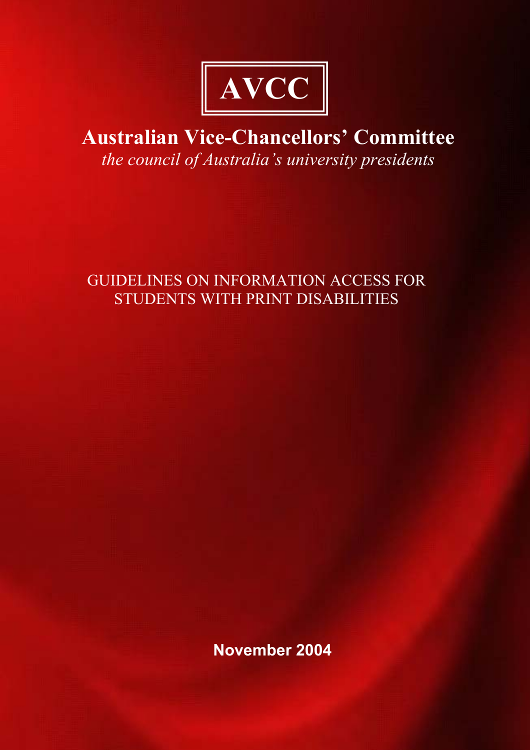

# **Australian Vice-Chancellors' Committee** *the council of Australia's university presidents*

## GUIDELINES ON INFORMATION ACCESS FOR STUDENTS WITH PRINT DISABILITIES

**November 2004**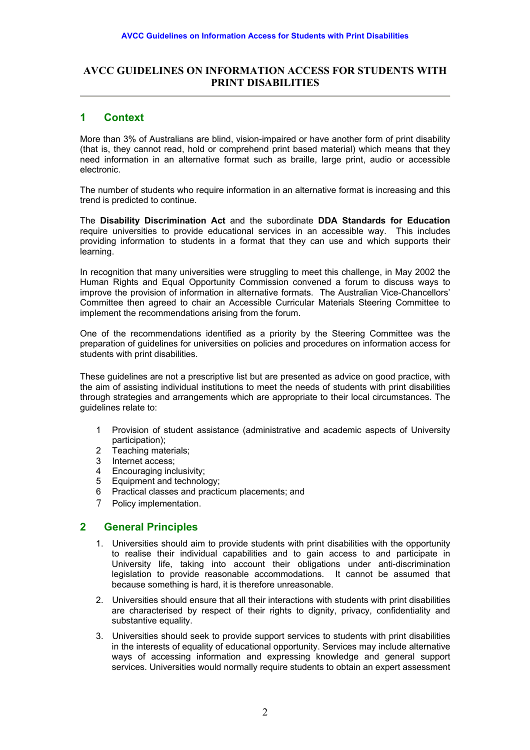## **AVCC GUIDELINES ON INFORMATION ACCESS FOR STUDENTS WITH PRINT DISABILITIES**

## **1 Context**

More than 3% of Australians are blind, vision-impaired or have another form of print disability (that is, they cannot read, hold or comprehend print based material) which means that they need information in an alternative format such as braille, large print, audio or accessible electronic.

The number of students who require information in an alternative format is increasing and this trend is predicted to continue.

The **Disability Discrimination Act** and the subordinate **DDA Standards for Education** require universities to provide educational services in an accessible way. This includes providing information to students in a format that they can use and which supports their learning.

In recognition that many universities were struggling to meet this challenge, in May 2002 the Human Rights and Equal Opportunity Commission convened a forum to discuss ways to improve the provision of information in alternative formats. The Australian Vice-Chancellors' Committee then agreed to chair an Accessible Curricular Materials Steering Committee to implement the recommendations arising from the forum.

One of the recommendations identified as a priority by the Steering Committee was the preparation of guidelines for universities on policies and procedures on information access for students with print disabilities.

These guidelines are not a prescriptive list but are presented as advice on good practice, with the aim of assisting individual institutions to meet the needs of students with print disabilities through strategies and arrangements which are appropriate to their local circumstances. The guidelines relate to:

- 1 Provision of student assistance (administrative and academic aspects of University participation);
- 2 Teaching materials;
- 3 Internet access;
- 4 Encouraging inclusivity;<br>5 Equipment and technolo
- 5 Equipment and technology;
- 6 Practical classes and practicum placements; and
- 7 Policy implementation.

## **2 General Principles**

- 1. Universities should aim to provide students with print disabilities with the opportunity to realise their individual capabilities and to gain access to and participate in University life, taking into account their obligations under anti-discrimination legislation to provide reasonable accommodations. It cannot be assumed that because something is hard, it is therefore unreasonable.
- 2. Universities should ensure that all their interactions with students with print disabilities are characterised by respect of their rights to dignity, privacy, confidentiality and substantive equality.
- 3. Universities should seek to provide support services to students with print disabilities in the interests of equality of educational opportunity. Services may include alternative ways of accessing information and expressing knowledge and general support services. Universities would normally require students to obtain an expert assessment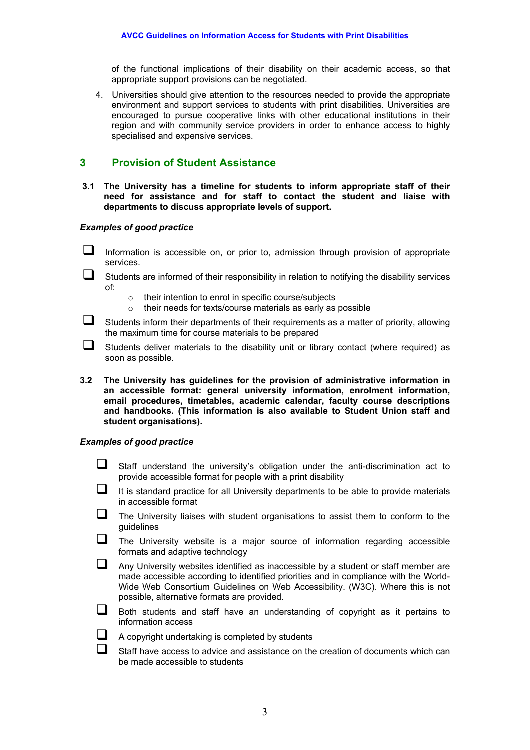of the functional implications of their disability on their academic access, so that appropriate support provisions can be negotiated.

4. Universities should give attention to the resources needed to provide the appropriate environment and support services to students with print disabilities. Universities are encouraged to pursue cooperative links with other educational institutions in their region and with community service providers in order to enhance access to highly specialised and expensive services.

## **3 Provision of Student Assistance**

**3.1 The University has a timeline for students to inform appropriate staff of their need for assistance and for staff to contact the student and liaise with departments to discuss appropriate levels of support.** 

#### *Examples of good practice*

 Information is accessible on, or prior to, admission through provision of appropriate services.

 Students are informed of their responsibility in relation to notifying the disability services of:

- o their intention to enrol in specific course/subjects<br>
o their needs for texts/course materials as early as
- their needs for texts/course materials as early as possible

 $\Box$  Students inform their departments of their requirements as a matter of priority, allowing the maximum time for course materials to be prepared

 $\square$  Students deliver materials to the disability unit or library contact (where required) as soon as possible.

**3.2 The University has guidelines for the provision of administrative information in an accessible format: general university information, enrolment information, email procedures, timetables, academic calendar, faculty course descriptions and handbooks. (This information is also available to Student Union staff and student organisations).** 

- $\Box$  Staff understand the university's obligation under the anti-discrimination act to provide accessible format for people with a print disability
- $\Box$  It is standard practice for all University departments to be able to provide materials in accessible format
- $\Box$  The University liaises with student organisations to assist them to conform to the guidelines
- $\Box$  The University website is a major source of information regarding accessible formats and adaptive technology
- $\Box$  Any University websites identified as inaccessible by a student or staff member are made accessible according to identified priorities and in compliance with the World-Wide Web Consortium Guidelines on Web Accessibility. (W3C). Where this is not possible, alternative formats are provided.
- $\Box$  Both students and staff have an understanding of copyright as it pertains to information access
	- A copyright undertaking is completed by students
	- Staff have access to advice and assistance on the creation of documents which can be made accessible to students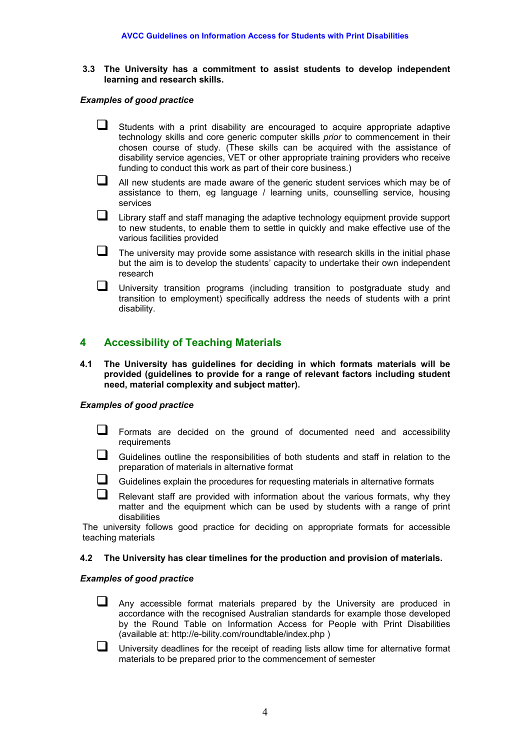**3.3 The University has a commitment to assist students to develop independent learning and research skills.** 

#### *Examples of good practice*

- $\Box$  Students with a print disability are encouraged to acquire appropriate adaptive technology skills and core generic computer skills *prior* to commencement in their chosen course of study. (These skills can be acquired with the assistance of disability service agencies, VET or other appropriate training providers who receive funding to conduct this work as part of their core business.)
- All new students are made aware of the generic student services which may be of assistance to them, eg language / learning units, counselling service, housing services
- **Library staff and staff managing the adaptive technology equipment provide support** to new students, to enable them to settle in quickly and make effective use of the various facilities provided
- $\Box$  The university may provide some assistance with research skills in the initial phase but the aim is to develop the students' capacity to undertake their own independent research

 University transition programs (including transition to postgraduate study and transition to employment) specifically address the needs of students with a print disability.

## **4 Accessibility of Teaching Materials**

**4.1 The University has guidelines for deciding in which formats materials will be provided (guidelines to provide for a range of relevant factors including student need, material complexity and subject matter).**

#### *Examples of good practice*

- Formats are decided on the ground of documented need and accessibility requirements
- $\Box$  Guidelines outline the responsibilities of both students and staff in relation to the preparation of materials in alternative format
- $\Box$  Guidelines explain the procedures for requesting materials in alternative formats
- $\Box$  Relevant staff are provided with information about the various formats, why they matter and the equipment which can be used by students with a range of print disabilities

The university follows good practice for deciding on appropriate formats for accessible teaching materials

#### **4.2 The University has clear timelines for the production and provision of materials.**

- $\Box$  Any accessible format materials prepared by the University are produced in accordance with the recognised Australian standards for example those developed by the Round Table on Information Access for People with Print Disabilities (available at: http://e-bility.com/roundtable/index.php )
- $\Box$  University deadlines for the receipt of reading lists allow time for alternative format materials to be prepared prior to the commencement of semester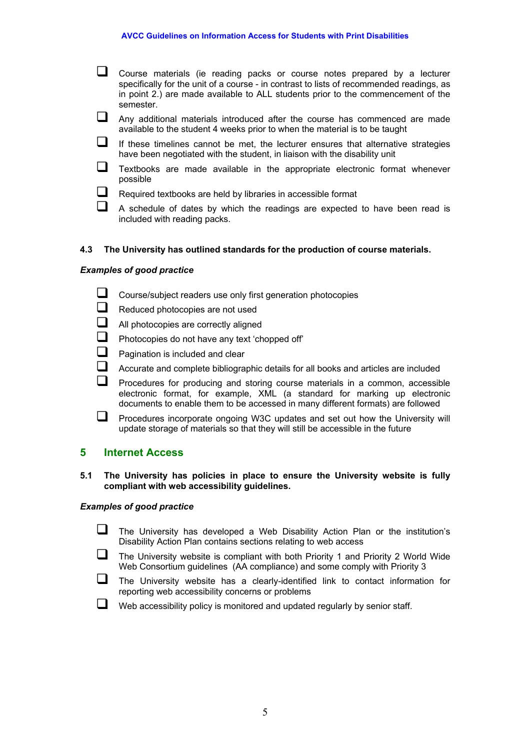- Course materials (ie reading packs or course notes prepared by a lecturer specifically for the unit of a course - in contrast to lists of recommended readings, as in point 2.) are made available to ALL students prior to the commencement of the semester.
- Any additional materials introduced after the course has commenced are made available to the student 4 weeks prior to when the material is to be taught
- $\Box$  If these timelines cannot be met, the lecturer ensures that alternative strategies have been negotiated with the student, in liaison with the disability unit
- $\Box$  Textbooks are made available in the appropriate electronic format whenever possible
- $\Box$  Required textbooks are held by libraries in accessible format
	- A schedule of dates by which the readings are expected to have been read is included with reading packs.

#### **4.3 The University has outlined standards for the production of course materials.**

#### *Examples of good practice*

- Course/subject readers use only first generation photocopies
- Reduced photocopies are not used
- $\Box$  All photocopies are correctly aligned
- **Photocopies do not have any text 'chopped off'**
- $\Box$  Pagination is included and clear
- $\Box$  Accurate and complete bibliographic details for all books and articles are included

 $\Box$  Procedures for producing and storing course materials in a common, accessible electronic format, for example, XML (a standard for marking up electronic documents to enable them to be accessed in many different formats) are followed

**Procedures incorporate ongoing W3C updates and set out how the University will** update storage of materials so that they will still be accessible in the future

#### **5 Internet Access**

#### **5.1 The University has policies in place to ensure the University website is fully compliant with web accessibility guidelines.**

- The University has developed a Web Disability Action Plan or the institution's Disability Action Plan contains sections relating to web access
- $\Box$  The University website is compliant with both Priority 1 and Priority 2 World Wide Web Consortium guidelines (AA compliance) and some comply with Priority 3
- $\Box$  The University website has a clearly-identified link to contact information for reporting web accessibility concerns or problems
- $\Box$  Web accessibility policy is monitored and updated regularly by senior staff.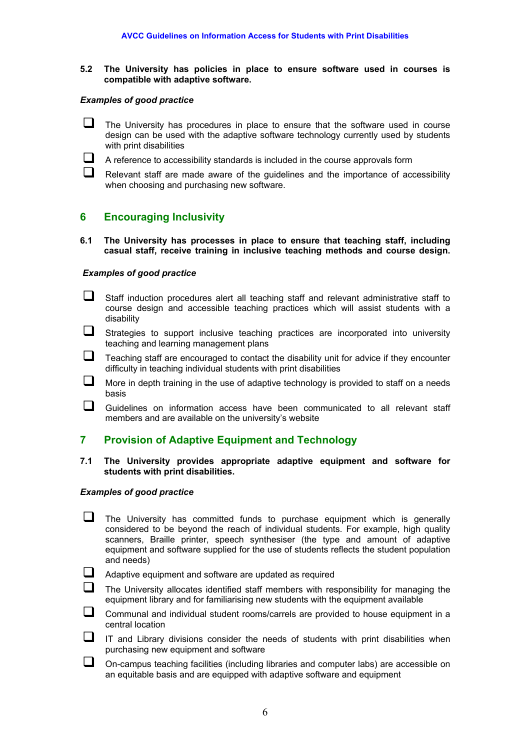**5.2 The University has policies in place to ensure software used in courses is compatible with adaptive software.** 

#### *Examples of good practice*

- $\Box$  The University has procedures in place to ensure that the software used in course design can be used with the adaptive software technology currently used by students with print disabilities
- $\Box$  A reference to accessibility standards is included in the course approvals form

 $\Box$  Relevant staff are made aware of the quidelines and the importance of accessibility when choosing and purchasing new software.

## **6 Encouraging Inclusivity**

**6.1 The University has processes in place to ensure that teaching staff, including casual staff, receive training in inclusive teaching methods and course design.**

#### *Examples of good practice*

- $\Box$  Staff induction procedures alert all teaching staff and relevant administrative staff to course design and accessible teaching practices which will assist students with a disability
- $\Box$  Strategies to support inclusive teaching practices are incorporated into university teaching and learning management plans
- $\Box$  Teaching staff are encouraged to contact the disability unit for advice if they encounter difficulty in teaching individual students with print disabilities
- $\Box$  More in depth training in the use of adaptive technology is provided to staff on a needs basis
- $\Box$  Guidelines on information access have been communicated to all relevant staff members and are available on the university's website

## **7 Provision of Adaptive Equipment and Technology**

#### **7.1 The University provides appropriate adaptive equipment and software for students with print disabilities.**

- $\Box$  The University has committed funds to purchase equipment which is generally considered to be beyond the reach of individual students. For example, high quality scanners, Braille printer, speech synthesiser (the type and amount of adaptive equipment and software supplied for the use of students reflects the student population and needs)
- $\Box$  Adaptive equipment and software are updated as required
	- The University allocates identified staff members with responsibility for managing the equipment library and for familiarising new students with the equipment available
- $\Box$  Communal and individual student rooms/carrels are provided to house equipment in a central location
- $\Box$  IT and Library divisions consider the needs of students with print disabilities when purchasing new equipment and software
- $\Box$  On-campus teaching facilities (including libraries and computer labs) are accessible on an equitable basis and are equipped with adaptive software and equipment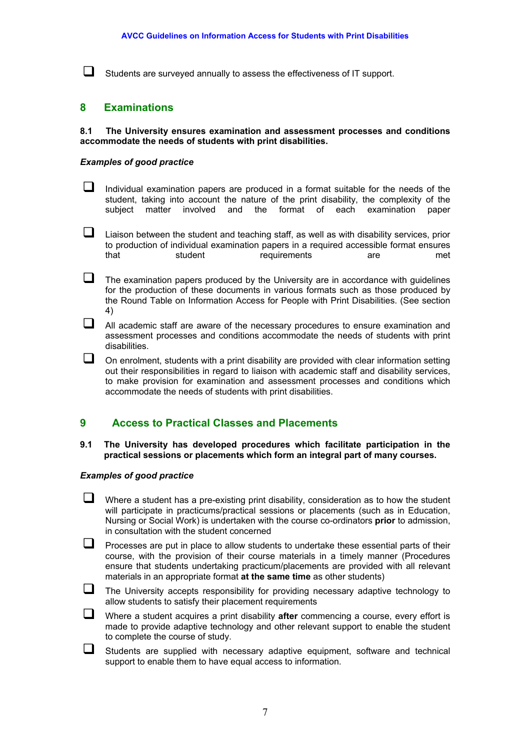$\Box$  Students are surveyed annually to assess the effectiveness of IT support.

## **8 Examinations**

#### **8.1 The University ensures examination and assessment processes and conditions accommodate the needs of students with print disabilities.**

#### *Examples of good practice*

- $\Box$  Individual examination papers are produced in a format suitable for the needs of the student, taking into account the nature of the print disability, the complexity of the subject matter involved and the format of each examination paper
- $\Box$  Liaison between the student and teaching staff, as well as with disability services, prior to production of individual examination papers in a required accessible format ensures that student requirements are met
- $\Box$  The examination papers produced by the University are in accordance with quidelines for the production of these documents in various formats such as those produced by the Round Table on Information Access for People with Print Disabilities. (See section 4)
- $\Box$  All academic staff are aware of the necessary procedures to ensure examination and assessment processes and conditions accommodate the needs of students with print disabilities.
- $\Box$  On enrolment, students with a print disability are provided with clear information setting out their responsibilities in regard to liaison with academic staff and disability services, to make provision for examination and assessment processes and conditions which accommodate the needs of students with print disabilities.

#### **9 Access to Practical Classes and Placements**

**9.1 The University has developed procedures which facilitate participation in the practical sessions or placements which form an integral part of many courses.**

#### *Examples of good practice*

- $\Box$  Where a student has a pre-existing print disability, consideration as to how the student will participate in practicums/practical sessions or placements (such as in Education, Nursing or Social Work) is undertaken with the course co-ordinators **prior** to admission, in consultation with the student concerned
- $\Box$  Processes are put in place to allow students to undertake these essential parts of their course, with the provision of their course materials in a timely manner (Procedures ensure that students undertaking practicum/placements are provided with all relevant materials in an appropriate format **at the same time** as other students)
- $\Box$  The University accepts responsibility for providing necessary adaptive technology to allow students to satisfy their placement requirements

 Where a student acquires a print disability **after** commencing a course, every effort is made to provide adaptive technology and other relevant support to enable the student to complete the course of study.

 $\Box$  Students are supplied with necessary adaptive equipment, software and technical support to enable them to have equal access to information.